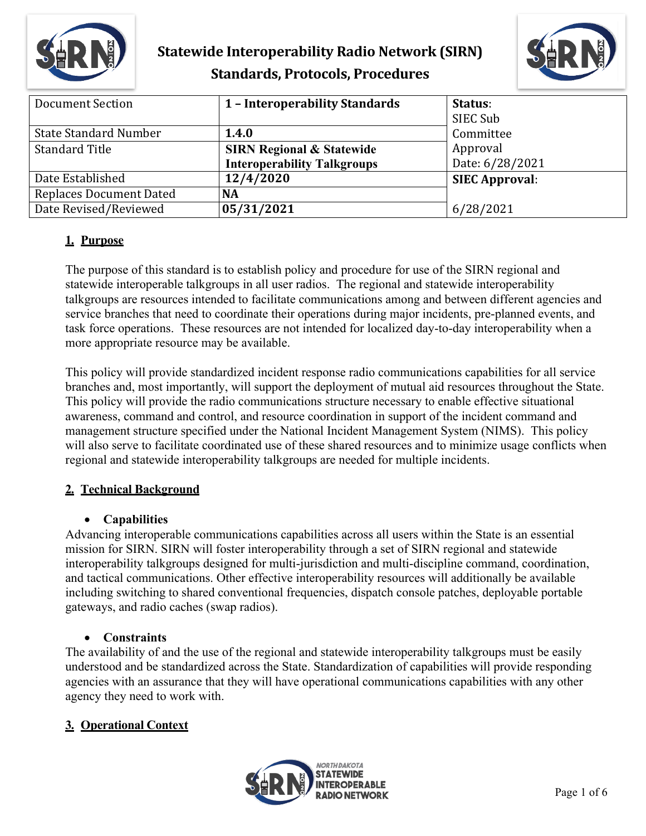



| <b>Document Section</b>        | 1 - Interoperability Standards       | Status:               |
|--------------------------------|--------------------------------------|-----------------------|
|                                |                                      | SIEC Sub              |
| <b>State Standard Number</b>   | 1.4.0                                | Committee             |
| <b>Standard Title</b>          | <b>SIRN Regional &amp; Statewide</b> | Approval              |
|                                | <b>Interoperability Talkgroups</b>   | Date: 6/28/2021       |
| Date Established               | 12/4/2020                            | <b>SIEC Approval:</b> |
| <b>Replaces Document Dated</b> | <b>NA</b>                            |                       |
| Date Revised/Reviewed          | 05/31/2021                           | 6/28/2021             |

## **1. Purpose**

The purpose of this standard is to establish policy and procedure for use of the SIRN regional and statewide interoperable talkgroups in all user radios. The regional and statewide interoperability talkgroups are resources intended to facilitate communications among and between different agencies and service branches that need to coordinate their operations during major incidents, pre-planned events, and task force operations. These resources are not intended for localized day-to-day interoperability when a more appropriate resource may be available.

This policy will provide standardized incident response radio communications capabilities for all service branches and, most importantly, will support the deployment of mutual aid resources throughout the State. This policy will provide the radio communications structure necessary to enable effective situational awareness, command and control, and resource coordination in support of the incident command and management structure specified under the National Incident Management System (NIMS). This policy will also serve to facilitate coordinated use of these shared resources and to minimize usage conflicts when regional and statewide interoperability talkgroups are needed for multiple incidents.

## **2. Technical Background**

## • **Capabilities**

Advancing interoperable communications capabilities across all users within the State is an essential mission for SIRN. SIRN will foster interoperability through a set of SIRN regional and statewide interoperability talkgroups designed for multi-jurisdiction and multi-discipline command, coordination, and tactical communications. Other effective interoperability resources will additionally be available including switching to shared conventional frequencies, dispatch console patches, deployable portable gateways, and radio caches (swap radios).

## • **Constraints**

The availability of and the use of the regional and statewide interoperability talkgroups must be easily understood and be standardized across the State. Standardization of capabilities will provide responding agencies with an assurance that they will have operational communications capabilities with any other agency they need to work with.

## **3. Operational Context**

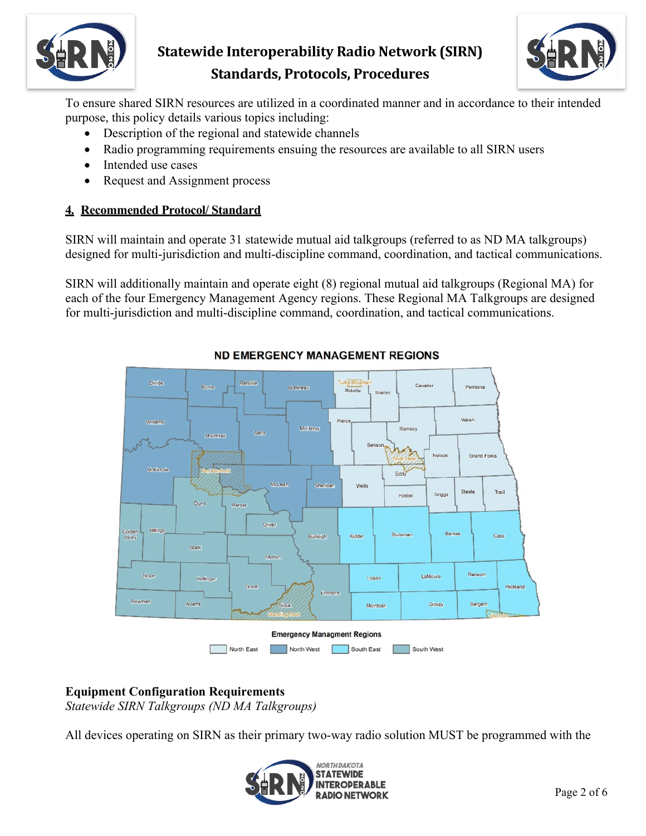



To ensure shared SIRN resources are utilized in a coordinated manner and in accordance to their intended purpose, this policy details various topics including:

- Description of the regional and statewide channels
- Radio programming requirements ensuing the resources are available to all SIRN users
- Intended use cases
- Request and Assignment process

#### **4. Recommended Protocol/ Standard**

SIRN will maintain and operate 31 statewide mutual aid talkgroups (referred to as ND MA talkgroups) designed for multi-jurisdiction and multi-discipline command, coordination, and tactical communications.

SIRN will additionally maintain and operate eight (8) regional mutual aid talkgroups (Regional MA) for each of the four Emergency Management Agency regions. These Regional MA Talkgroups are designed for multi-jurisdiction and multi-discipline command, coordination, and tactical communications.



#### **ND EMERGENCY MANAGEMENT REGIONS**

## **Equipment Configuration Requirements**

*Statewide SIRN Talkgroups (ND MA Talkgroups)*

All devices operating on SIRN as their primary two-way radio solution MUST be programmed with the

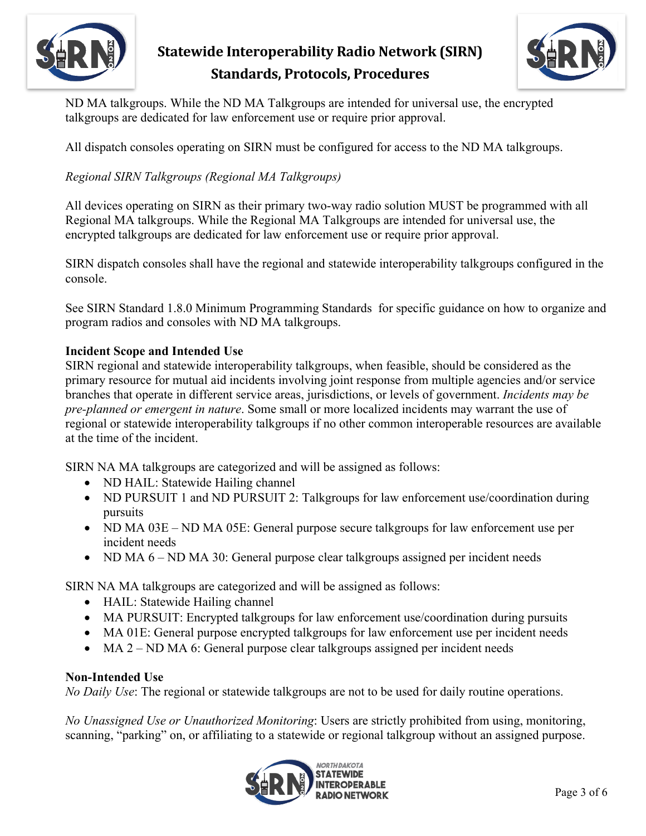



ND MA talkgroups. While the ND MA Talkgroups are intended for universal use, the encrypted talkgroups are dedicated for law enforcement use or require prior approval.

All dispatch consoles operating on SIRN must be configured for access to the ND MA talkgroups.

## *Regional SIRN Talkgroups (Regional MA Talkgroups)*

All devices operating on SIRN as their primary two-way radio solution MUST be programmed with all Regional MA talkgroups. While the Regional MA Talkgroups are intended for universal use, the encrypted talkgroups are dedicated for law enforcement use or require prior approval.

SIRN dispatch consoles shall have the regional and statewide interoperability talkgroups configured in the console.

See SIRN Standard 1.8.0 Minimum Programming Standards for specific guidance on how to organize and program radios and consoles with ND MA talkgroups.

#### **Incident Scope and Intended Use**

SIRN regional and statewide interoperability talkgroups, when feasible, should be considered as the primary resource for mutual aid incidents involving joint response from multiple agencies and/or service branches that operate in different service areas, jurisdictions, or levels of government. *Incidents may be pre-planned or emergent in nature*. Some small or more localized incidents may warrant the use of regional or statewide interoperability talkgroups if no other common interoperable resources are available at the time of the incident.

SIRN NA MA talkgroups are categorized and will be assigned as follows:

- ND HAIL: Statewide Hailing channel
- ND PURSUIT 1 and ND PURSUIT 2: Talkgroups for law enforcement use/coordination during pursuits
- ND MA 03E ND MA 05E: General purpose secure talkgroups for law enforcement use per incident needs
- ND MA  $6 ND$  MA 30: General purpose clear talkgroups assigned per incident needs

SIRN NA MA talkgroups are categorized and will be assigned as follows:

- HAIL: Statewide Hailing channel
- MA PURSUIT: Encrypted talkgroups for law enforcement use/coordination during pursuits
- MA 01E: General purpose encrypted talkgroups for law enforcement use per incident needs
- MA 2 ND MA 6: General purpose clear talkgroups assigned per incident needs

#### **Non-Intended Use**

*No Daily Use*: The regional or statewide talkgroups are not to be used for daily routine operations.

*No Unassigned Use or Unauthorized Monitoring*: Users are strictly prohibited from using, monitoring, scanning, "parking" on, or affiliating to a statewide or regional talkgroup without an assigned purpose.

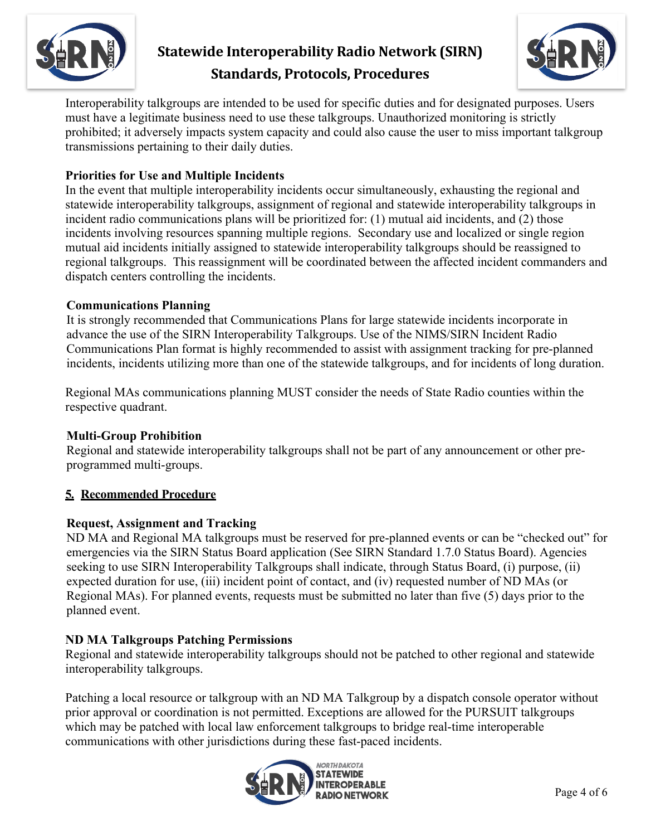



Interoperability talkgroups are intended to be used for specific duties and for designated purposes. Users must have a legitimate business need to use these talkgroups. Unauthorized monitoring is strictly prohibited; it adversely impacts system capacity and could also cause the user to miss important talkgroup transmissions pertaining to their daily duties.

## **Priorities for Use and Multiple Incidents**

In the event that multiple interoperability incidents occur simultaneously, exhausting the regional and statewide interoperability talkgroups, assignment of regional and statewide interoperability talkgroups in incident radio communications plans will be prioritized for: (1) mutual aid incidents, and (2) those incidents involving resources spanning multiple regions. Secondary use and localized or single region mutual aid incidents initially assigned to statewide interoperability talkgroups should be reassigned to regional talkgroups. This reassignment will be coordinated between the affected incident commanders and dispatch centers controlling the incidents.

#### **Communications Planning**

It is strongly recommended that Communications Plans for large statewide incidents incorporate in advance the use of the SIRN Interoperability Talkgroups. Use of the NIMS/SIRN Incident Radio Communications Plan format is highly recommended to assist with assignment tracking for pre-planned incidents, incidents utilizing more than one of the statewide talkgroups, and for incidents of long duration.

Regional MAs communications planning MUST consider the needs of State Radio counties within the respective quadrant.

#### **Multi-Group Prohibition**

Regional and statewide interoperability talkgroups shall not be part of any announcement or other preprogrammed multi-groups.

## **5. Recommended Procedure**

#### **Request, Assignment and Tracking**

ND MA and Regional MA talkgroups must be reserved for pre-planned events or can be "checked out" for emergencies via the SIRN Status Board application (See SIRN Standard 1.7.0 Status Board). Agencies seeking to use SIRN Interoperability Talkgroups shall indicate, through Status Board, (i) purpose, (ii) expected duration for use, (iii) incident point of contact, and (iv) requested number of ND MAs (or Regional MAs). For planned events, requests must be submitted no later than five (5) days prior to the planned event.

## **ND MA Talkgroups Patching Permissions**

Regional and statewide interoperability talkgroups should not be patched to other regional and statewide interoperability talkgroups.

Patching a local resource or talkgroup with an ND MA Talkgroup by a dispatch console operator without prior approval or coordination is not permitted. Exceptions are allowed for the PURSUIT talkgroups which may be patched with local law enforcement talkgroups to bridge real-time interoperable communications with other jurisdictions during these fast-paced incidents.

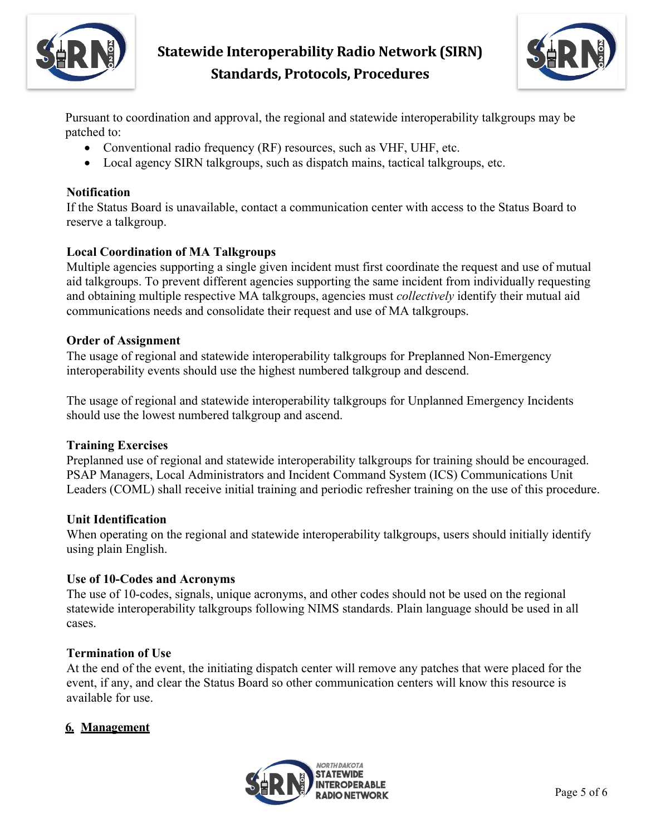



Pursuant to coordination and approval, the regional and statewide interoperability talkgroups may be patched to:

- Conventional radio frequency (RF) resources, such as VHF, UHF, etc.
- Local agency SIRN talkgroups, such as dispatch mains, tactical talkgroups, etc.

#### **Notification**

If the Status Board is unavailable, contact a communication center with access to the Status Board to reserve a talkgroup.

#### **Local Coordination of MA Talkgroups**

Multiple agencies supporting a single given incident must first coordinate the request and use of mutual aid talkgroups. To prevent different agencies supporting the same incident from individually requesting and obtaining multiple respective MA talkgroups, agencies must *collectively* identify their mutual aid communications needs and consolidate their request and use of MA talkgroups.

#### **Order of Assignment**

The usage of regional and statewide interoperability talkgroups for Preplanned Non-Emergency interoperability events should use the highest numbered talkgroup and descend.

The usage of regional and statewide interoperability talkgroups for Unplanned Emergency Incidents should use the lowest numbered talkgroup and ascend.

#### **Training Exercises**

Preplanned use of regional and statewide interoperability talkgroups for training should be encouraged. PSAP Managers, Local Administrators and Incident Command System (ICS) Communications Unit Leaders (COML) shall receive initial training and periodic refresher training on the use of this procedure.

#### **Unit Identification**

When operating on the regional and statewide interoperability talkgroups, users should initially identify using plain English.

#### **Use of 10-Codes and Acronyms**

The use of 10-codes, signals, unique acronyms, and other codes should not be used on the regional statewide interoperability talkgroups following NIMS standards. Plain language should be used in all cases.

#### **Termination of Use**

At the end of the event, the initiating dispatch center will remove any patches that were placed for the event, if any, and clear the Status Board so other communication centers will know this resource is available for use.

## **6. Management**